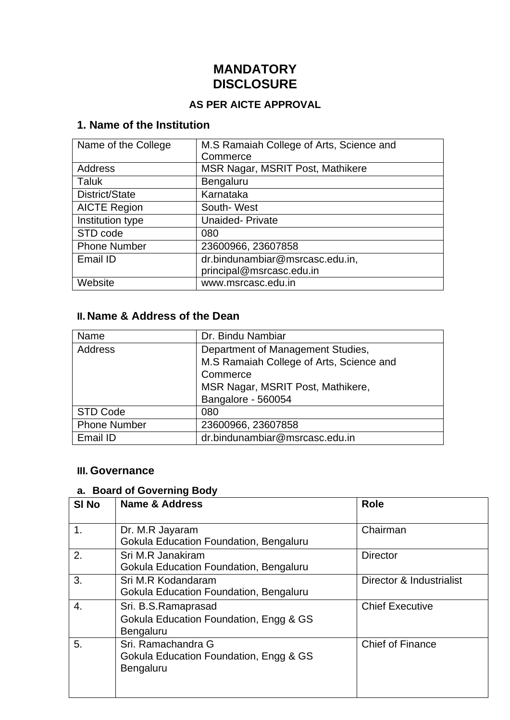# **MANDATORY DISCLOSURE**

#### **AS PER AICTE APPROVAL**

### **1. Name of the Institution**

| Name of the College | M.S Ramaiah College of Arts, Science and |
|---------------------|------------------------------------------|
|                     | Commerce                                 |
| Address             | MSR Nagar, MSRIT Post, Mathikere         |
| Taluk               | Bengaluru                                |
| District/State      | Karnataka                                |
| <b>AICTE Region</b> | South-West                               |
| Institution type    | <b>Unaided-Private</b>                   |
| STD code            | 080                                      |
| <b>Phone Number</b> | 23600966, 23607858                       |
| Email ID            | dr.bindunambiar@msrcasc.edu.in,          |
|                     | principal@msrcasc.edu.in                 |
| Website             | www.msrcasc.edu.in                       |

### **II. Name & Address of the Dean**

| Name                | Dr. Bindu Nambiar                        |  |  |  |  |
|---------------------|------------------------------------------|--|--|--|--|
| Address             | Department of Management Studies,        |  |  |  |  |
|                     | M.S Ramaiah College of Arts, Science and |  |  |  |  |
|                     | Commerce                                 |  |  |  |  |
|                     | MSR Nagar, MSRIT Post, Mathikere,        |  |  |  |  |
|                     | Bangalore - 560054                       |  |  |  |  |
| <b>STD Code</b>     | 080                                      |  |  |  |  |
| <b>Phone Number</b> | 23600966, 23607858                       |  |  |  |  |
| Email ID            | dr.bindunambiar@msrcasc.edu.in           |  |  |  |  |

#### **III. Governance**

# **a. Board of Governing Body**

| SI <sub>No</sub> | <b>Name &amp; Address</b>                                                         | <b>Role</b>              |
|------------------|-----------------------------------------------------------------------------------|--------------------------|
| 1 <sub>1</sub>   | Dr. M.R Jayaram<br>Gokula Education Foundation, Bengaluru                         | Chairman                 |
| 2.               | Sri M.R Janakiram<br>Gokula Education Foundation, Bengaluru                       | <b>Director</b>          |
| 3.               | Sri M.R Kodandaram<br>Gokula Education Foundation, Bengaluru                      | Director & Industrialist |
| 4.               | Sri. B.S.Ramaprasad<br>Gokula Education Foundation, Engg & GS<br><b>Bengaluru</b> | <b>Chief Executive</b>   |
| 5.               | Sri, Ramachandra G<br>Gokula Education Foundation, Engg & GS<br>Bengaluru         | <b>Chief of Finance</b>  |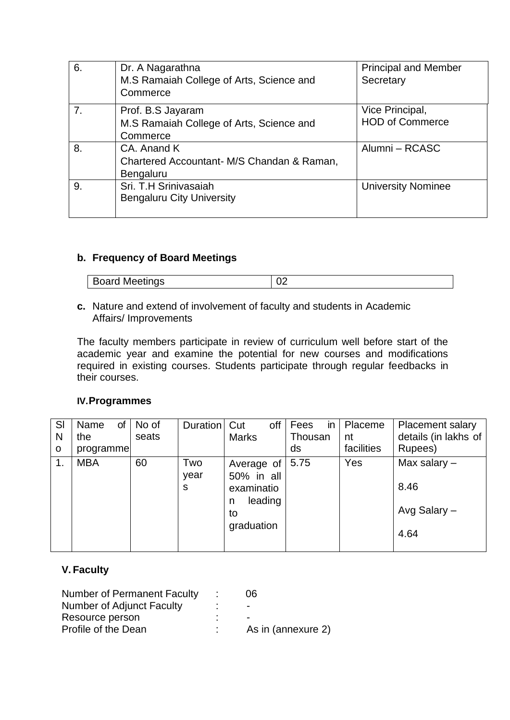| 6. | Dr. A Nagarathna<br>M.S Ramaiah College of Arts, Science and<br>Commerce      | <b>Principal and Member</b><br>Secretary  |
|----|-------------------------------------------------------------------------------|-------------------------------------------|
| 7. | Prof. B.S Jayaram<br>M.S Ramaiah College of Arts, Science and<br>Commerce     | Vice Principal,<br><b>HOD of Commerce</b> |
| 8. | CA. Anand K<br>Chartered Accountant- M/S Chandan & Raman,<br><b>Bengaluru</b> | Alumni – RCASC                            |
| 9. | Sri. T.H Srinivasaiah<br><b>Bengaluru City University</b>                     | <b>University Nominee</b>                 |

#### **b. Frequency of Board Meetings**

| <b>Board Meetings</b> |  |
|-----------------------|--|

**c.** Nature and extend of involvement of faculty and students in Academic Affairs/ Improvements

The faculty members participate in review of curriculum well before start of the academic year and examine the potential for new courses and modifications required in existing courses. Students participate through regular feedbacks in their courses.

#### **IV.Programmes**

| SI<br>N<br>$\mathbf O$ | Name<br>the<br>programme | of | No of<br>seats | Duration         | Cut<br><b>Marks</b>                                                        | off | Fees<br>Thousan<br>ds | $\mathsf{in}$ | Placeme<br>nt<br>facilities | <b>Placement salary</b><br>details (in lakhs of<br>Rupees) |
|------------------------|--------------------------|----|----------------|------------------|----------------------------------------------------------------------------|-----|-----------------------|---------------|-----------------------------|------------------------------------------------------------|
| 1.                     | <b>MBA</b>               |    | 60             | Two<br>year<br>s | Average of<br>50% in all<br>examinatio<br>leading<br>n<br>to<br>graduation |     | 5.75                  |               | Yes                         | Max salary $-$<br>8.46<br>Avg Salary -<br>4.64             |

#### **V. Faculty**

| <b>Number of Permanent Faculty</b> | 06                       |
|------------------------------------|--------------------------|
| Number of Adjunct Faculty          | $\overline{\phantom{0}}$ |
| Resource person                    |                          |
| Profile of the Dean                | As in (annexure 2)       |
|                                    |                          |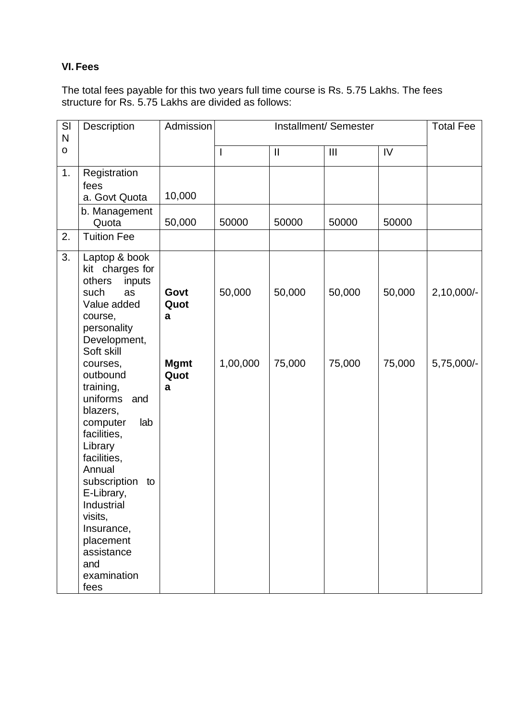#### **VI. Fees**

The total fees payable for this two years full time course is Rs. 5.75 Lakhs. The fees structure for Rs. 5.75 Lakhs are divided as follows:

| SI<br>$\mathsf{N}$ | Description                                                                                                                                                                                                                                                                                              | Admission                |              | <b>Total Fee</b> |                |        |              |
|--------------------|----------------------------------------------------------------------------------------------------------------------------------------------------------------------------------------------------------------------------------------------------------------------------------------------------------|--------------------------|--------------|------------------|----------------|--------|--------------|
| $\mathbf 0$        |                                                                                                                                                                                                                                                                                                          |                          | $\mathsf{l}$ | $\mathbf{I}$     | $\mathbf{III}$ | IV     |              |
| 1.                 | Registration<br>fees<br>a. Govt Quota                                                                                                                                                                                                                                                                    | 10,000                   |              |                  |                |        |              |
|                    | b. Management<br>Quota                                                                                                                                                                                                                                                                                   | 50,000                   | 50000        | 50000            | 50000          | 50000  |              |
| 2.                 | <b>Tuition Fee</b>                                                                                                                                                                                                                                                                                       |                          |              |                  |                |        |              |
| 3.                 | Laptop & book<br>kit charges for<br>others<br>inputs<br>such<br>as<br>Value added<br>course,<br>personality                                                                                                                                                                                              | Govt<br>Quot<br>a        | 50,000       | 50,000           | 50,000         | 50,000 | $2,10,000/-$ |
|                    | Development,<br>Soft skill<br>courses,<br>outbound<br>training,<br>uniforms<br>and<br>blazers,<br>computer<br>lab<br>facilities,<br>Library<br>facilities,<br>Annual<br>subscription<br>to<br>E-Library,<br>Industrial<br>visits,<br>Insurance,<br>placement<br>assistance<br>and<br>examination<br>fees | <b>Mgmt</b><br>Quot<br>a | 1,00,000     | 75,000           | 75,000         | 75,000 | 5,75,000/-   |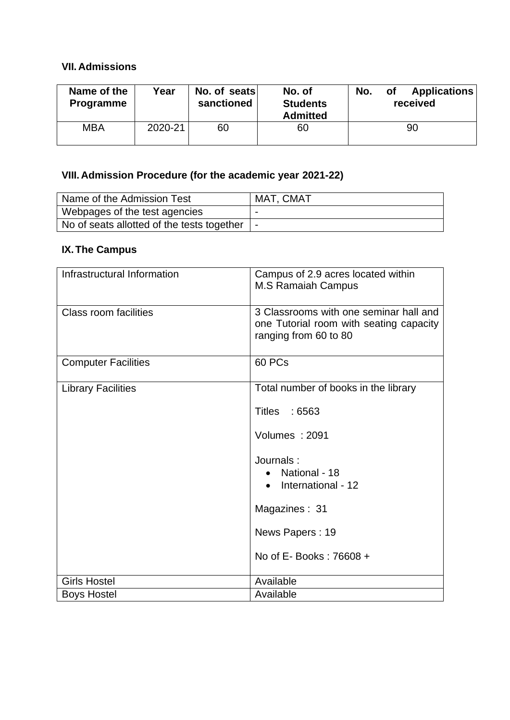### **VII. Admissions**

| Name of the<br><b>Programme</b> | Year    | No. of seats<br>sanctioned | No. of<br><b>Students</b><br><b>Admitted</b> | No. | <b>of</b> | <b>Applications</b><br>received |
|---------------------------------|---------|----------------------------|----------------------------------------------|-----|-----------|---------------------------------|
| MBA                             | 2020-21 | 60                         | 60                                           |     |           | 90                              |

# **VIII. Admission Procedure (for the academic year 2021-22)**

| Name of the Admission Test                     | MAT, CMAT |
|------------------------------------------------|-----------|
| Webpages of the test agencies                  |           |
| No of seats allotted of the tests together   - |           |

### **IX.The Campus**

| Infrastructural Information | Campus of 2.9 acres located within<br><b>M.S Ramaiah Campus</b>                                            |
|-----------------------------|------------------------------------------------------------------------------------------------------------|
| Class room facilities       | 3 Classrooms with one seminar hall and<br>one Tutorial room with seating capacity<br>ranging from 60 to 80 |
| <b>Computer Facilities</b>  | 60 PCs                                                                                                     |
| <b>Library Facilities</b>   | Total number of books in the library                                                                       |
|                             | Titles : 6563                                                                                              |
|                             | Volumes: 2091                                                                                              |
|                             | Journals:<br>National - 18<br>International - 12                                                           |
|                             | Magazines: 31                                                                                              |
|                             | News Papers: 19                                                                                            |
|                             | No of E- Books: 76608 +                                                                                    |
| <b>Girls Hostel</b>         | Available                                                                                                  |
| <b>Boys Hostel</b>          | Available                                                                                                  |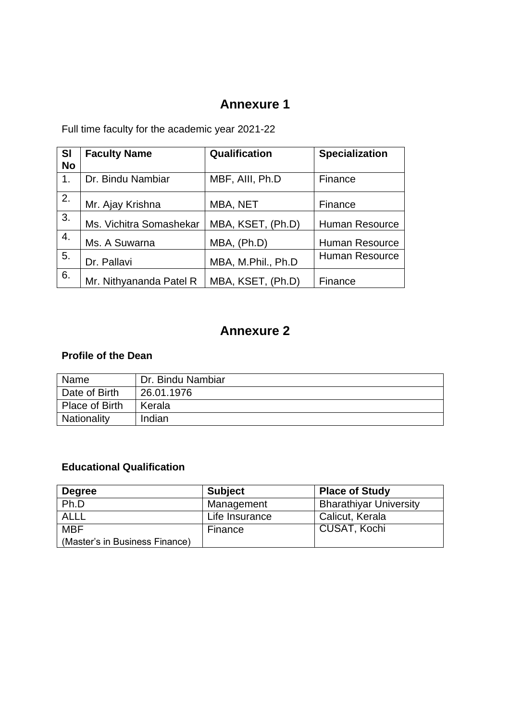## **Annexure 1**

Full time faculty for the academic year 2021-22

| <b>SI</b><br><b>No</b> | <b>Faculty Name</b>     | Qualification      | <b>Specialization</b> |
|------------------------|-------------------------|--------------------|-----------------------|
| 1.                     | Dr. Bindu Nambiar       | MBF, AIII, Ph.D    | Finance               |
| 2.                     | Mr. Ajay Krishna        | MBA, NET           | Finance               |
| 3.                     | Ms. Vichitra Somashekar | MBA, KSET, (Ph.D)  | <b>Human Resource</b> |
| 4.                     | Ms. A Suwarna           | MBA, (Ph.D)        | Human Resource        |
| 5.                     | Dr. Pallavi             | MBA, M.Phil., Ph.D | Human Resource        |
| 6.                     | Mr. Nithyananda Patel R | MBA, KSET, (Ph.D)  | Finance               |

# **Annexure 2**

### **Profile of the Dean**

| Name           | Dr. Bindu Nambiar |
|----------------|-------------------|
| Date of Birth  | 26.01.1976        |
| Place of Birth | Kerala            |
| Nationality    | Indian            |

### **Educational Qualification**

| <b>Degree</b>                  | <b>Subject</b> | <b>Place of Study</b>         |
|--------------------------------|----------------|-------------------------------|
| Ph.D                           | Management     | <b>Bharathiyar University</b> |
| <b>ALLL</b>                    | Life Insurance | Calicut, Kerala               |
| <b>MBF</b>                     | Finance        | CUSAT, Kochi                  |
| (Master's in Business Finance) |                |                               |